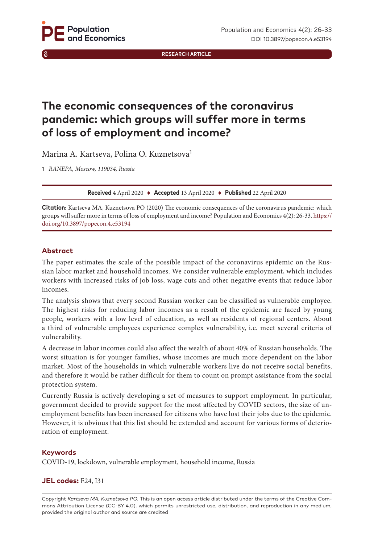**RESEARCH ARTICLE**

# **The economic consequences of the coronavirus pandemic: which groups will suffer more in terms of loss of employment and income?**

Marina A. Kartseva, Polina O. Kuznetsova<sup>1</sup>

1 *RANEPA, Moscow, 119034, Russia*

**Received** 4 April 2020 ♦ **Accepted** 13 April 2020 ♦ **Published** 22 April 2020

**Citation:** Kartseva MA, Kuznetsova PO (2020) The economic consequences of the coronavirus pandemic: which groups will suffer more in terms of loss of employment and income? Population and Economics 4(2): 26-33. [https://](https://doi.org/10.3897/popecon.4.e53194) [doi.org/1](https://doi.org/10.3897/popecon.4.e53194)0.3897/popecon.4.e53194

# **Abstract**

The paper estimates the scale of the possible impact of the coronavirus epidemic on the Russian labor market and household incomes. We consider vulnerable employment, which includes workers with increased risks of job loss, wage cuts and other negative events that reduce labor incomes.

The analysis shows that every second Russian worker can be classified as vulnerable employee. The highest risks for reducing labor incomes as a result of the epidemic are faced by young people, workers with a low level of education, as well as residents of regional centers. About a third of vulnerable employees experience complex vulnerability, i.e. meet several criteria of vulnerability.

A decrease in labor incomes could also affect the wealth of about 40% of Russian households. The worst situation is for younger families, whose incomes are much more dependent on the labor market. Most of the households in which vulnerable workers live do not receive social benefits, and therefore it would be rather difficult for them to count on prompt assistance from the social protection system.

Currently Russia is actively developing a set of measures to support employment. In particular, government decided to provide support for the most affected by COVID sectors, the size of unemployment benefits has been increased for citizens who have lost their jobs due to the epidemic. However, it is obvious that this list should be extended and account for various forms of deterioration of employment.

# **Keywords**

COVID-19, lockdown, vulnerable employment, household income, Russia

# **JEL codes:** E24, I31

Copyright *Kartseva MA, Kuznetsova PO.* This is an open access article distributed under the terms of the Creative Commons Attribution License (CC-BY 4.0), which permits unrestricted use, distribution, and reproduction in any medium, provided the original author and source are credited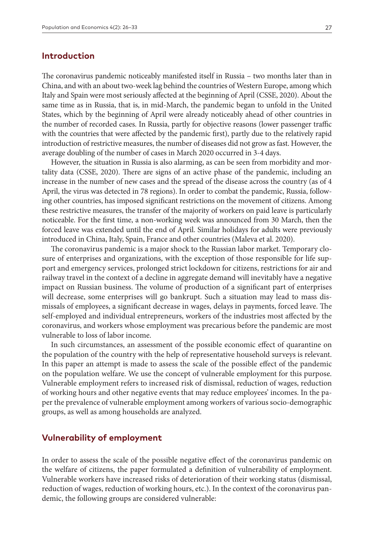# **Introduction**

The coronavirus pandemic noticeably manifested itself in Russia – two months later than in China, and with an about two-week lag behind the countries of Western Europe, among which Italy and Spain were most seriously affected at the beginning of April (CSSE, 2020). About the same time as in Russia, that is, in mid-March, the pandemic began to unfold in the United States, which by the beginning of April were already noticeably ahead of other countries in the number of recorded cases. In Russia, partly for objective reasons (lower passenger traffic with the countries that were affected by the pandemic first), partly due to the relatively rapid introduction of restrictive measures, the number of diseases did not grow as fast. However, the average doubling of the number of cases in March 2020 occurred in 3-4 days.

However, the situation in Russia is also alarming, as can be seen from morbidity and mortality data (CSSE, 2020). There are signs of an active phase of the pandemic, including an increase in the number of new cases and the spread of the disease across the country (as of 4 April, the virus was detected in 78 regions). In order to combat the pandemic, Russia, following other countries, has imposed significant restrictions on the movement of citizens. Among these restrictive measures, the transfer of the majority of workers on paid leave is particularly noticeable. For the first time, a non-working week was announced from 30 March, then the forced leave was extended until the end of April. Similar holidays for adults were previously introduced in China, Italy, Spain, France and other countries (Maleva et al. 2020).

The coronavirus pandemic is a major shock to the Russian labor market. Temporary closure of enterprises and organizations, with the exception of those responsible for life support and emergency services, prolonged strict lockdown for citizens, restrictions for air and railway travel in the context of a decline in aggregate demand will inevitably have a negative impact on Russian business. The volume of production of a significant part of enterprises will decrease, some enterprises will go bankrupt. Such a situation may lead to mass dismissals of employees, a significant decrease in wages, delays in payments, forced leave. The self-employed and individual entrepreneurs, workers of the industries most affected by the coronavirus, and workers whose employment was precarious before the pandemic are most vulnerable to loss of labor income.

In such circumstances, an assessment of the possible economic effect of quarantine on the population of the country with the help of representative household surveys is relevant. In this paper an attempt is made to assess the scale of the possible effect of the pandemic on the population welfare. We use the concept of vulnerable employment for this purpose. Vulnerable employment refers to increased risk of dismissal, reduction of wages, reduction of working hours and other negative events that may reduce employees' incomes. In the paper the prevalence of vulnerable employment among workers of various socio-demographic groups, as well as among households are analyzed.

### **Vulnerability of employment**

In order to assess the scale of the possible negative effect of the coronavirus pandemic on the welfare of citizens, the paper formulated a definition of vulnerability of employment. Vulnerable workers have increased risks of deterioration of their working status (dismissal, reduction of wages, reduction of working hours, etc.). In the context of the coronavirus pandemic, the following groups are considered vulnerable: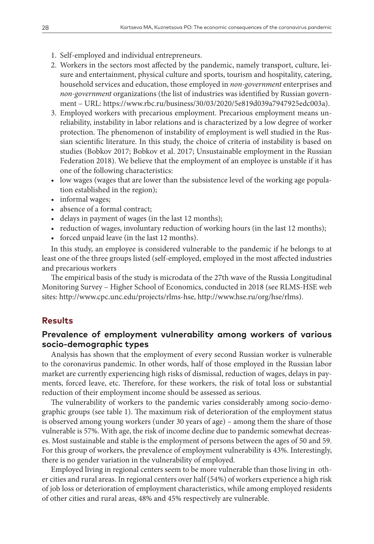- 1. Self-employed and individual entrepreneurs.
- 2. Workers in the sectors most affected by the pandemic, namely transport, culture, leisure and entertainment, physical culture and sports, tourism and hospitality, catering, household services and education, those employed in *non-government* enterprises and *non-government* organizations (the list of industries was identified by Russian government – URL:<https://www.rbc.ru/business/30/03/2020/5e819d039a7947925edc003a>).
- 3. Employed workers with precarious employment. Precarious employment means unreliability, instability in labor relations and is characterized by a low degree of worker protection. The phenomenon of instability of employment is well studied in the Russian scientific literature. In this study, the choice of criteria of instability is based on studies (Bobkov 2017; Bobkov et al. 2017; Unsustainable employment in the Russian Federation 2018). We believe that the employment of an employee is unstable if it has one of the following characteristics:
- low wages (wages that are lower than the subsistence level of the working age population established in the region);
- informal wages;
- absence of a formal contract;
- delays in payment of wages (in the last 12 months);
- reduction of wages, involuntary reduction of working hours (in the last 12 months);
- forced unpaid leave (in the last 12 months).

In this study, an employee is considered vulnerable to the pandemic if he belongs to at least one of the three groups listed (self-employed, employed in the most affected industries and precarious workers

The empirical basis of the study is microdata of the 27th wave of the Russia Longitudinal Monitoring Survey – Higher School of Economics, conducted in 2018 (see RLMS-HSE web sites: [http://www.cpc.unc.edu/projects/rlms-hse,](http://www.cpc.unc.edu/projects/rlms-hse) [http://www.hse.ru/org/hse/rlms\)](http://www.hse.ru/org/hse/rlms).

# **Results**

# **Prevalence of employment vulnerability among workers of various socio-demographic types**

Analysis has shown that the employment of every second Russian worker is vulnerable to the coronavirus pandemic. In other words, half of those employed in the Russian labor market are currently experiencing high risks of dismissal, reduction of wages, delays in payments, forced leave, etc. Therefore, for these workers, the risk of total loss or substantial reduction of their employment income should be assessed as serious.

The vulnerability of workers to the pandemic varies considerably among socio-demographic groups (see table 1). The maximum risk of deterioration of the employment status is observed among young workers (under 30 years of age) – among them the share of those vulnerable is 57%. With age, the risk of income decline due to pandemic somewhat decreases. Most sustainable and stable is the employment of persons between the ages of 50 and 59. For this group of workers, the prevalence of employment vulnerability is 43%. Interestingly, there is no gender variation in the vulnerability of employed.

Employed living in regional centers seem to be more vulnerable than those living in other cities and rural areas. In regional centers over half (54%) of workers experience a high risk of job loss or deterioration of employment characteristics, while among employed residents of other cities and rural areas, 48% and 45% respectively are vulnerable.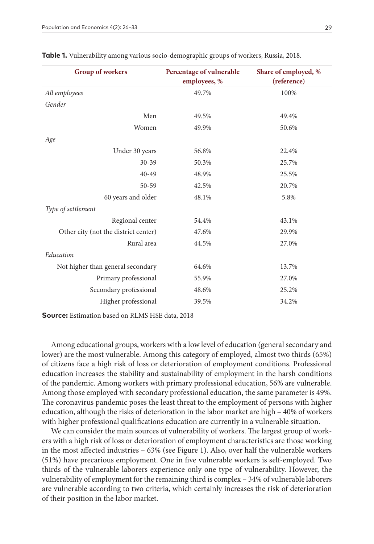| <b>Group of workers</b>              | Percentage of vulnerable<br>employees, % | Share of employed, %<br>(reference) |  |  |  |
|--------------------------------------|------------------------------------------|-------------------------------------|--|--|--|
| All employees                        | 49.7%                                    | 100%                                |  |  |  |
| Gender                               |                                          |                                     |  |  |  |
| Men                                  | 49.5%                                    | 49.4%                               |  |  |  |
| Women                                | 49.9%                                    | 50.6%                               |  |  |  |
| Age                                  |                                          |                                     |  |  |  |
| Under 30 years                       | 56.8%                                    | 22.4%                               |  |  |  |
| $30 - 39$                            | 50.3%                                    | 25.7%                               |  |  |  |
| $40 - 49$                            | 48.9%                                    | 25.5%                               |  |  |  |
| 50-59                                | 42.5%                                    | 20.7%                               |  |  |  |
| 60 years and older                   | 48.1%                                    | 5.8%                                |  |  |  |
| Type of settlement                   |                                          |                                     |  |  |  |
| Regional center                      | 54.4%                                    | 43.1%                               |  |  |  |
| Other city (not the district center) | 47.6%                                    | 29.9%                               |  |  |  |
| Rural area                           | 44.5%                                    | 27.0%                               |  |  |  |
| Education                            |                                          |                                     |  |  |  |
| Not higher than general secondary    | 64.6%                                    | 13.7%                               |  |  |  |
| Primary professional                 | 55.9%                                    | 27.0%                               |  |  |  |
| Secondary professional               | 48.6%                                    | 25.2%                               |  |  |  |
| Higher professional                  | 39.5%                                    | 34.2%                               |  |  |  |

|  |  | Table 1. Vulnerability among various socio-demographic groups of workers, Russia, 2018 |  |  |  |  |  |  |  |
|--|--|----------------------------------------------------------------------------------------|--|--|--|--|--|--|--|
|--|--|----------------------------------------------------------------------------------------|--|--|--|--|--|--|--|

**Source:** Estimation based on RLMS HSE data, 2018

Among educational groups, workers with a low level of education (general secondary and lower) are the most vulnerable. Among this category of employed, almost two thirds (65%) of citizens face a high risk of loss or deterioration of employment conditions. Professional education increases the stability and sustainability of employment in the harsh conditions of the pandemic. Among workers with primary professional education, 56% are vulnerable. Among those employed with secondary professional education, the same parameter is 49%. The coronavirus pandemic poses the least threat to the employment of persons with higher education, although the risks of deterioration in the labor market are high – 40% of workers with higher professional qualifications education are currently in a vulnerable situation.

We can consider the main sources of vulnerability of workers. The largest group of workers with a high risk of loss or deterioration of employment characteristics are those working in the most affected industries – 63% (see Figure 1). Also, over half the vulnerable workers (51%) have precarious employment. One in five vulnerable workers is self-employed. Two thirds of the vulnerable laborers experience only one type of vulnerability. However, the vulnerability of employment for the remaining third is complex – 34% of vulnerable laborers are vulnerable according to two criteria, which certainly increases the risk of deterioration of their position in the labor market.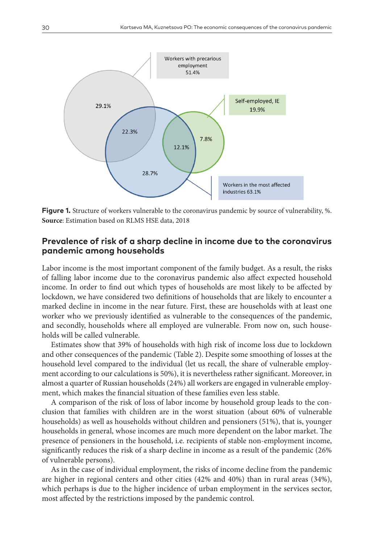

**Figure 1.** Structure of workers vulnerable to the coronavirus pandemic by source of vulnerability, %. **Source**: Estimation based on RLMS HSE data, 2018

# **Prevalence of risk of a sharp decline in income due to the coronavirus pandemic among households**

Labor income is the most important component of the family budget. As a result, the risks of falling labor income due to the coronavirus pandemic also affect expected household income. In order to find out which types of households are most likely to be affected by lockdown, we have considered two definitions of households that are likely to encounter a marked decline in income in the near future. First, these are households with at least one worker who we previously identified as vulnerable to the consequences of the pandemic, and secondly, households where all employed are vulnerable. From now on, such households will be called vulnerable.

Estimates show that 39% of households with high risk of income loss due to lockdown and other consequences of the pandemic (Table 2). Despite some smoothing of losses at the household level compared to the individual (let us recall, the share of vulnerable employment according to our calculations is 50%), it is nevertheless rather significant. Moreover, in almost a quarter of Russian households (24%) all workers are engaged in vulnerable employment, which makes the financial situation of these families even less stable.

A comparison of the risk of loss of labor income by household group leads to the conclusion that families with children are in the worst situation (about 60% of vulnerable households) as well as households without children and pensioners (51%), that is, younger households in general, whose incomes are much more dependent on the labor market. The presence of pensioners in the household, i.e. recipients of stable non-employment income, significantly reduces the risk of a sharp decline in income as a result of the pandemic (26% of vulnerable persons).

As in the case of individual employment, the risks of income decline from the pandemic are higher in regional centers and other cities (42% and 40%) than in rural areas (34%), which perhaps is due to the higher incidence of urban employment in the services sector, most affected by the restrictions imposed by the pandemic control.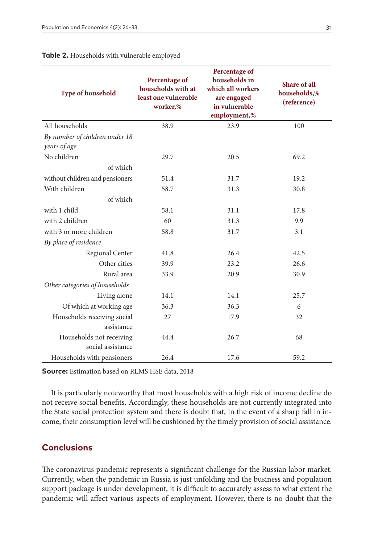| <b>Type of household</b>        | Percentage of<br>households with at<br>least one vulnerable<br>worker,% | Percentage of<br>households in<br>which all workers<br>are engaged<br>in vulnerable<br>employment,% | Share of all<br>households,%<br>(reference) |
|---------------------------------|-------------------------------------------------------------------------|-----------------------------------------------------------------------------------------------------|---------------------------------------------|
| All households                  | 38.9                                                                    | 23.9                                                                                                | 100                                         |
| By number of children under 18  |                                                                         |                                                                                                     |                                             |
| years of age                    |                                                                         |                                                                                                     |                                             |
| No children                     | 29.7                                                                    | 20.5                                                                                                | 69.2                                        |
| of which                        |                                                                         |                                                                                                     |                                             |
| without children and pensioners | 51.4                                                                    | 31.7                                                                                                | 19.2                                        |
| With children                   | 58.7                                                                    | 31.3                                                                                                | 30.8                                        |
| of which                        |                                                                         |                                                                                                     |                                             |
| with 1 child                    | 58.1                                                                    | 31.1                                                                                                | 17.8                                        |
| with 2 children                 | 60                                                                      | 31.3                                                                                                | 9.9                                         |
| with 3 or more children         | 58.8                                                                    | 31.7                                                                                                | 3.1                                         |
| By place of residence           |                                                                         |                                                                                                     |                                             |
| Regional Center                 | 41.8                                                                    | 26.4                                                                                                | 42.5                                        |
| Other cities                    | 39.9                                                                    | 23.2                                                                                                | 26.6                                        |
| Rural area                      | 33.9                                                                    | 20.9                                                                                                | 30.9                                        |
| Other categories of households  |                                                                         |                                                                                                     |                                             |
| Living alone                    | 14.1                                                                    | 14.1                                                                                                | 25.7                                        |
| Of which at working age         | 36.3                                                                    | 36.3                                                                                                | 6                                           |
| Households receiving social     | 27                                                                      | 17.9                                                                                                | 32                                          |
| assistance                      |                                                                         |                                                                                                     |                                             |
| Households not receiving        | 44.4                                                                    | 26.7                                                                                                | 68                                          |
| social assistance               |                                                                         |                                                                                                     |                                             |
| Households with pensioners      | 26.4                                                                    | 17.6                                                                                                | 59.2                                        |

#### **Table 2.** Households with vulnerable employed

**Source:** Estimation based on RLMS HSE data, 2018

It is particularly noteworthy that most households with a high risk of income decline do not receive social benefits. Accordingly, these households are not currently integrated into the State social protection system and there is doubt that, in the event of a sharp fall in income, their consumption level will be cushioned by the timely provision of social assistance.

# **Conclusions**

The coronavirus pandemic represents a significant challenge for the Russian labor market. Currently, when the pandemic in Russia is just unfolding and the business and population support package is under development, it is difficult to accurately assess to what extent the pandemic will affect various aspects of employment. However, there is no doubt that the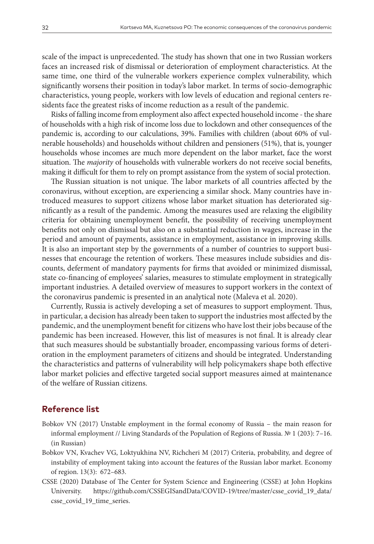scale of the impact is unprecedented. The study has shown that one in two Russian workers faces an increased risk of dismissal or deterioration of employment characteristics. At the same time, one third of the vulnerable workers experience complex vulnerability, which significantly worsens their position in today's labor market. In terms of socio-demographic characteristics, young people, workers with low levels of education and regional centers residents face the greatest risks of income reduction as a result of the pandemic.

Risks of falling income from employment also affect expected household income - the share of households with a high risk of income loss due to lockdown and other consequences of the pandemic is, according to our calculations, 39%. Families with children (about 60% of vulnerable households) and households without children and pensioners (51%), that is, younger households whose incomes are much more dependent on the labor market, face the worst situation. The *majority* of households with vulnerable workers do not receive social benefits, making it difficult for them to rely on prompt assistance from the system of social protection.

The Russian situation is not unique. The labor markets of all countries affected by the coronavirus, without exception, are experiencing a similar shock. Many countries have introduced measures to support citizens whose labor market situation has deteriorated significantly as a result of the pandemic. Among the measures used are relaxing the eligibility criteria for obtaining unemployment benefit, the possibility of receiving unemployment benefits not only on dismissal but also on a substantial reduction in wages, increase in the period and amount of payments, assistance in employment, assistance in improving skills. It is also an important step by the governments of a number of countries to support businesses that encourage the retention of workers. These measures include subsidies and discounts, deferment of mandatory payments for firms that avoided or minimized dismissal, state co-financing of employees' salaries, measures to stimulate employment in strategically important industries. A detailed overview of measures to support workers in the context of the coronavirus pandemic is presented in an analytical note (Maleva et al. 2020).

Currently, Russia is actively developing a set of measures to support employment. Thus, in particular, a decision has already been taken to support the industries most affected by the pandemic, and the unemployment benefit for citizens who have lost their jobs because of the pandemic has been increased. However, this list of measures is not final. It is already clear that such measures should be substantially broader, encompassing various forms of deterioration in the employment parameters of citizens and should be integrated. Understanding the characteristics and patterns of vulnerability will help policymakers shape both effective labor market policies and effective targeted social support measures aimed at maintenance of the welfare of Russian citizens.

# **Reference list**

- Bobkov VN (2017) Unstable employment in the formal economy of Russia the main reason for informal employment // Living Standards of the Population of Regions of Russia. № 1 (203): 7–16. (in Russian)
- Bobkov VN, Kvachev VG, Loktyukhina NV, Richcheri M (2017) Criteria, probability, and degree of instability of employment taking into account the features of the Russian labor market. Economy of region. 13(3): 672–683.
- CSSE (2020) Database of The Center for System Science and Engineering (CSSE) at John Hopkins University. [https://github.com/CSSEGISandData/COVID-19/tree/master/csse\\_covid\\_19\\_data/](https://github.com/CSSEGISandData/COVID-19/tree/master/csse_covid_19_data/csse_covid_19_time_series) [csse\\_covid\\_19\\_time\\_series.](https://github.com/CSSEGISandData/COVID-19/tree/master/csse_covid_19_data/csse_covid_19_time_series)